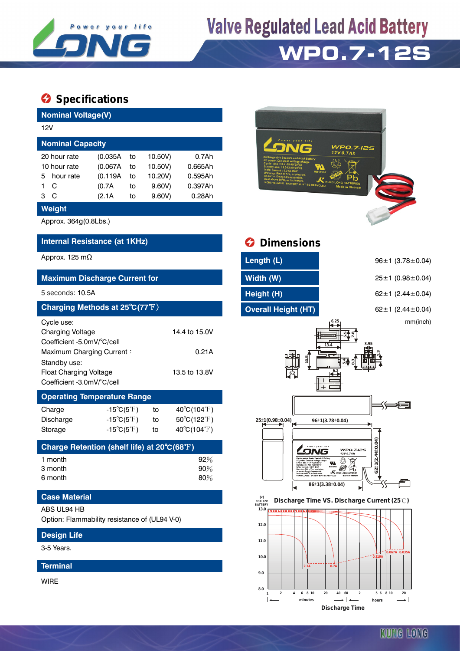

**Valve Regulated Lead Acid Battery** 

## **WP0.7-12S**

### **Specifications**

| <b>Nominal Voltage(V)</b>                                             |                                    |               |         |                                  |  |  |  |
|-----------------------------------------------------------------------|------------------------------------|---------------|---------|----------------------------------|--|--|--|
| 12V                                                                   |                                    |               |         |                                  |  |  |  |
| <b>Nominal Capacity</b>                                               |                                    |               |         |                                  |  |  |  |
| 20 hour rate                                                          | 0.7Ah<br>(0.035A)<br>to<br>10.50V) |               |         |                                  |  |  |  |
| 10 hour rate                                                          | (0.067A                            | to            | 10.50V) | 0.665Ah                          |  |  |  |
| hour rate<br>5                                                        | (0.119A                            | to            | 10.20V) | 0.595Ah                          |  |  |  |
| 1<br>С                                                                | (0.7A)                             | to            | 9.60V)  | 0.397Ah                          |  |  |  |
| С<br>3                                                                | (2.1A)                             | to            | 9.60V   | 0.28Ah                           |  |  |  |
| <b>Weight</b>                                                         |                                    |               |         |                                  |  |  |  |
| Approx. 364g(0.8Lbs.)                                                 |                                    |               |         |                                  |  |  |  |
| Internal Resistance (at 1KHz)                                         |                                    |               |         |                                  |  |  |  |
| Approx. 125 m $\Omega$                                                |                                    |               |         |                                  |  |  |  |
| <b>Maximum Discharge Current for</b>                                  |                                    |               |         |                                  |  |  |  |
| 5 seconds: 10.5A                                                      |                                    |               |         |                                  |  |  |  |
| Charging Methods at 25°C(77°F)                                        |                                    |               |         |                                  |  |  |  |
| Cycle use:                                                            |                                    |               |         |                                  |  |  |  |
| <b>Charging Voltage</b>                                               |                                    | 14.4 to 15.0V |         |                                  |  |  |  |
| Coefficient -5.0mV/°C/cell                                            |                                    |               |         |                                  |  |  |  |
| Maximum Charging Current:<br>0.21A                                    |                                    |               |         |                                  |  |  |  |
| Standby use:                                                          |                                    |               |         |                                  |  |  |  |
| <b>Float Charging Voltage</b><br>13.5 to 13.8V                        |                                    |               |         |                                  |  |  |  |
| Coefficient -3.0mV/°C/cell                                            |                                    |               |         |                                  |  |  |  |
| <b>Operating Temperature Range</b>                                    |                                    |               |         |                                  |  |  |  |
| Charge                                                                | $-15^{\circ}C(5^{\circ}F)$         |               | to      | $40^{\circ}$ C(104 $^{\circ}$ F) |  |  |  |
| Discharge                                                             | $-15^{\circ}C(5^{\circ}F)$         |               | to      | 50°C(122°F)                      |  |  |  |
| Storage                                                               | $-15^{\circ}C(5^{\circ}F)$         |               | to      | $40^{\circ}C(104^{\circ}F)$      |  |  |  |
| Charge Retention (shelf life) at 20 $\mathrm{^{\circ}C(68^{\circ}F)}$ |                                    |               |         |                                  |  |  |  |
| 1 month                                                               |                                    |               |         | 92%                              |  |  |  |
| 3 month                                                               |                                    |               |         | 90%                              |  |  |  |
| 6 month                                                               |                                    |               |         | 80%                              |  |  |  |
| <b>Case Material</b>                                                  |                                    |               |         |                                  |  |  |  |
| ABS UL94 HB                                                           |                                    |               |         |                                  |  |  |  |
| Option: Flammability resistance of (UL94 V-0)                         |                                    |               |         |                                  |  |  |  |



WIRE



### *<u>Dimensions</u>*

| Length (L)                 | $96 \pm 1$ (3.78 $\pm$ 0.04) |
|----------------------------|------------------------------|
| Width (W)                  | $25 \pm 1$ (0.98 $\pm$ 0.04) |
| Height (H)                 | 62 $\pm$ 1 (2.44 $\pm$ 0.04) |
| <b>Overall Height (HT)</b> | 62 ± 1 $(2.44 \pm 0.04)$     |

mm(inch)



 **FOR 12V BATTERY Discharge Time VS. Discharge Current (25 ℃)**